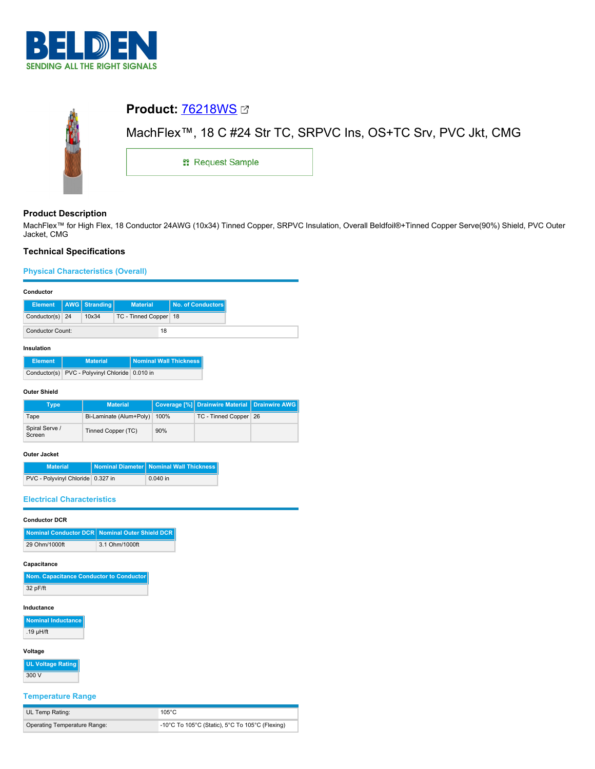



# **Product Description**

MachFlex™ for High Flex, 18 Conductor 24AWG (10x34) Tinned Copper, SRPVC Insulation, Overall Beldfoil®+Tinned Copper Serve(90%) Shield, PVC Outer Jacket, CMG

# **Technical Specifications**

**Physical Characteristics (Overall)**

## **Conductor**

|                         |  | Element   AWG   Stranding | <b>Material</b>         |  | No. of Conductors |
|-------------------------|--|---------------------------|-------------------------|--|-------------------|
| Conductor(s) 24         |  | 10x34                     | TC - Tinned Copper   18 |  |                   |
| <b>Conductor Count:</b> |  |                           | 18                      |  |                   |

## **Insulation**

| <b>Element</b> | <b>Material</b>                                | <b>Nominal Wall Thickness</b> |
|----------------|------------------------------------------------|-------------------------------|
|                | Conductor(s) PVC - Polyvinyl Chloride 0.010 in |                               |

### **Outer Shield**

| Type                     | <b>Material</b>         |      | Coverage [%] Drainwire Material Drainwire AWG |  |
|--------------------------|-------------------------|------|-----------------------------------------------|--|
| Tape                     | Bi-Laminate (Alum+Poly) | 100% | TC - Tinned Copper 26                         |  |
| Spiral Serve /<br>Screen | Tinned Copper (TC)      | 90%  |                                               |  |

## **Outer Jacket**

| <b>Material</b>                   | Nominal Diameter   Nominal Wall Thickness |
|-----------------------------------|-------------------------------------------|
| PVC - Polyvinyl Chloride 0.327 in | $0.040$ in                                |

## **Electrical Characteristics**

## **Conductor DCR**

|               | Nominal Conductor DCR Nominal Outer Shield DCR |
|---------------|------------------------------------------------|
| 29 Ohm/1000ft | 3.1 Ohm/1000ft                                 |

### **Capacitance**

| Nom. Capacitance Conductor to Conductor |
|-----------------------------------------|
| 32 pF/ft                                |

### **Inductance**

**Nominal Inductance** .19 µH/ft

# **Voltage**

**UL Voltage Rating** 300 V

## **Temperature Range**

| UL Temp Rating:              | $105^{\circ}$ C                                 |
|------------------------------|-------------------------------------------------|
| Operating Temperature Range: | -10°C To 105°C (Static), 5°C To 105°C (Flexing) |